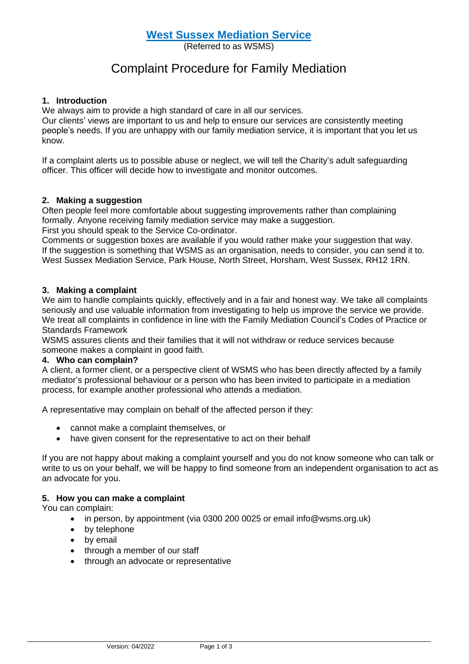# **West Sussex Mediation Service**

(Referred to as WSMS)

# Complaint Procedure for Family Mediation

# **1. Introduction**

We always aim to provide a high standard of care in all our services.

Our clients' views are important to us and help to ensure our services are consistently meeting people's needs. If you are unhappy with our family mediation service, it is important that you let us know.

If a complaint alerts us to possible abuse or neglect, we will tell the Charity's adult safeguarding officer. This officer will decide how to investigate and monitor outcomes.

# **2. Making a suggestion**

Often people feel more comfortable about suggesting improvements rather than complaining formally. Anyone receiving family mediation service may make a suggestion. First you should speak to the Service Co-ordinator.

Comments or suggestion boxes are available if you would rather make your suggestion that way. If the suggestion is something that WSMS as an organisation, needs to consider, you can send it to.

West Sussex Mediation Service, Park House, North Street, Horsham, West Sussex, RH12 1RN.

# **3. Making a complaint**

We aim to handle complaints quickly, effectively and in a fair and honest way. We take all complaints seriously and use valuable information from investigating to help us improve the service we provide. We treat all complaints in confidence in line with the Family Mediation Council's Codes of Practice or Standards Framework

WSMS assures clients and their families that it will not withdraw or reduce services because someone makes a complaint in good faith.

# **4. Who can complain?**

A client, a former client, or a perspective client of WSMS who has been directly affected by a family mediator's professional behaviour or a person who has been invited to participate in a mediation process, for example another professional who attends a mediation.

A representative may complain on behalf of the affected person if they:

- cannot make a complaint themselves, or
- have given consent for the representative to act on their behalf

If you are not happy about making a complaint yourself and you do not know someone who can talk or write to us on your behalf, we will be happy to find someone from an independent organisation to act as an advocate for you.

# **5. How you can make a complaint**

You can complain:

- in person, by appointment (via 0300 200 0025 or email info@wsms.org.uk)
- by telephone
- by email
- through a member of our staff
- through an advocate or representative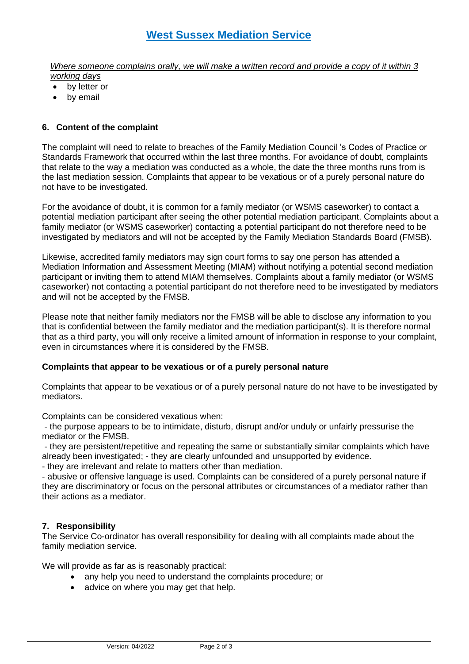*Where someone complains orally, we will make a written record and provide a copy of it within 3 working days*

- by letter or
- by email

# **6. Content of the complaint**

The complaint will need to relate to breaches of the Family Mediation Council 's Codes of Practice or Standards Framework that occurred within the last three months. For avoidance of doubt, complaints that relate to the way a mediation was conducted as a whole, the date the three months runs from is the last mediation session. Complaints that appear to be vexatious or of a purely personal nature do not have to be investigated.

For the avoidance of doubt, it is common for a family mediator (or WSMS caseworker) to contact a potential mediation participant after seeing the other potential mediation participant. Complaints about a family mediator (or WSMS caseworker) contacting a potential participant do not therefore need to be investigated by mediators and will not be accepted by the Family Mediation Standards Board (FMSB).

Likewise, accredited family mediators may sign court forms to say one person has attended a Mediation Information and Assessment Meeting (MIAM) without notifying a potential second mediation participant or inviting them to attend MIAM themselves. Complaints about a family mediator (or WSMS caseworker) not contacting a potential participant do not therefore need to be investigated by mediators and will not be accepted by the FMSB.

Please note that neither family mediators nor the FMSB will be able to disclose any information to you that is confidential between the family mediator and the mediation participant(s). It is therefore normal that as a third party, you will only receive a limited amount of information in response to your complaint, even in circumstances where it is considered by the FMSB.

# **Complaints that appear to be vexatious or of a purely personal nature**

Complaints that appear to be vexatious or of a purely personal nature do not have to be investigated by mediators.

Complaints can be considered vexatious when:

- the purpose appears to be to intimidate, disturb, disrupt and/or unduly or unfairly pressurise the mediator or the FMSB.

- they are persistent/repetitive and repeating the same or substantially similar complaints which have already been investigated; - they are clearly unfounded and unsupported by evidence.

- they are irrelevant and relate to matters other than mediation.

- abusive or offensive language is used. Complaints can be considered of a purely personal nature if they are discriminatory or focus on the personal attributes or circumstances of a mediator rather than their actions as a mediator.

# **7. Responsibility**

The Service Co-ordinator has overall responsibility for dealing with all complaints made about the family mediation service.

We will provide as far as is reasonably practical:

- any help you need to understand the complaints procedure; or
- advice on where you may get that help.